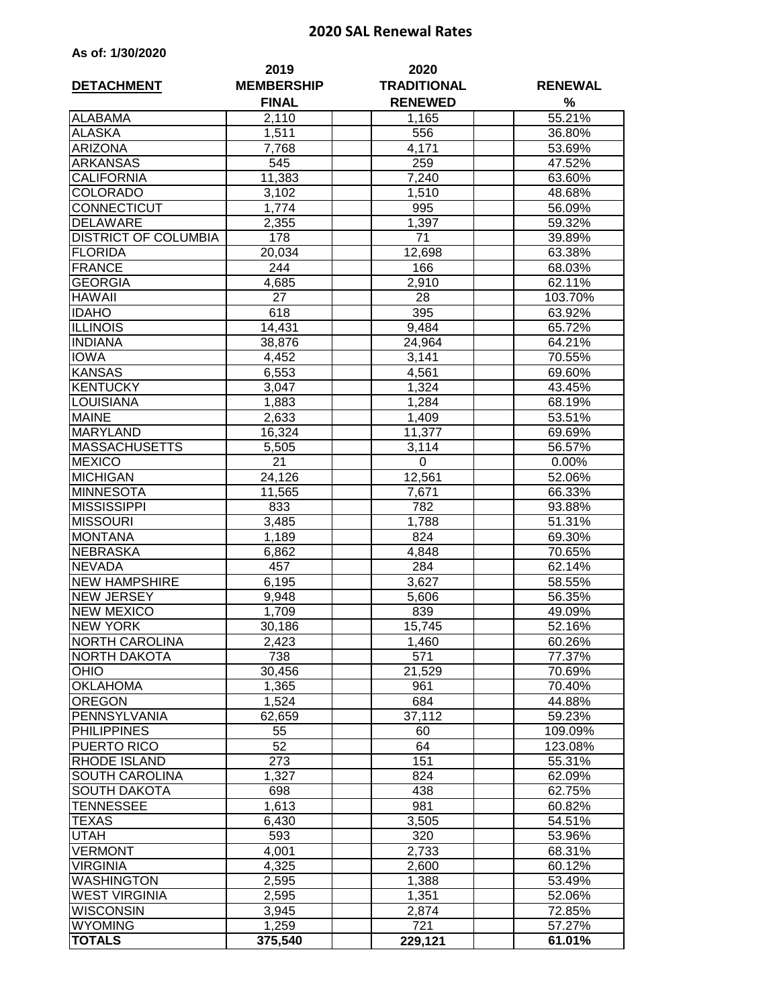## **2020 SAL Renewal Rates**

| As of: 1/30/2020 |  |
|------------------|--|
|------------------|--|

| <b>DETACHMENT</b>           | 2019<br><b>MEMBERSHIP</b> | 2020<br><b>TRADITIONAL</b> | <b>RENEWAL</b> |
|-----------------------------|---------------------------|----------------------------|----------------|
|                             | <b>FINAL</b>              | <b>RENEWED</b>             | %              |
| <b>ALABAMA</b>              | 2,110                     | 1,165                      | 55.21%         |
| <b>ALASKA</b>               | 1,511                     | 556                        | 36.80%         |
| <b>ARIZONA</b>              | 7,768                     | 4,171                      | 53.69%         |
| <b>ARKANSAS</b>             | 545                       | 259                        | 47.52%         |
| <b>CALIFORNIA</b>           | 11,383                    | 7,240                      | 63.60%         |
| <b>COLORADO</b>             | 3,102                     | 1,510                      | 48.68%         |
| CONNECTICUT                 | 1,774                     | 995                        | 56.09%         |
| <b>DELAWARE</b>             | 2,355                     | 1,397                      | 59.32%         |
| <b>DISTRICT OF COLUMBIA</b> | 178                       | 71                         | 39.89%         |
| <b>FLORIDA</b>              | 20,034                    | 12,698                     | 63.38%         |
| <b>FRANCE</b>               | 244                       | 166                        | 68.03%         |
| <b>GEORGIA</b>              | 4,685                     | $\overline{2,910}$         | 62.11%         |
| <b>HAWAII</b>               | 27                        | 28                         | 103.70%        |
| <b>IDAHO</b>                | 618                       | 395                        | 63.92%         |
| <b>ILLINOIS</b>             | 14,431                    | 9,484                      | 65.72%         |
| <b>INDIANA</b>              | 38,876                    | 24,964                     | 64.21%         |
| <b>IOWA</b>                 | 4,452                     | 3,141                      | 70.55%         |
| <b>KANSAS</b>               | 6,553                     | 4,561                      | 69.60%         |
| <b>KENTUCKY</b>             | 3,047                     | 1,324                      | 43.45%         |
| LOUISIANA                   | 1,883                     | 1,284                      | 68.19%         |
| <b>MAINE</b>                | 2,633                     | 1,409                      | 53.51%         |
| <b>MARYLAND</b>             | 16,324                    | 11,377                     | 69.69%         |
| <b>MASSACHUSETTS</b>        | 5,505                     | 3,114                      | 56.57%         |
| <b>MEXICO</b>               | 21                        | 0                          | 0.00%          |
| <b>MICHIGAN</b>             | 24,126                    | 12,561                     | 52.06%         |
| <b>MINNESOTA</b>            | 11,565                    | 7,671                      | 66.33%         |
| <b>MISSISSIPPI</b>          | 833                       | 782                        | 93.88%         |
| <b>MISSOURI</b>             | 3,485                     | 1,788                      | 51.31%         |
| <b>MONTANA</b>              | 1,189                     | 824                        | 69.30%         |
| <b>NEBRASKA</b>             | 6,862                     | 4,848                      | 70.65%         |
| <b>NEVADA</b>               | 457                       | 284                        | 62.14%         |
| <b>NEW HAMPSHIRE</b>        | 6,195                     | 3,627                      | 58.55%         |
| <b>NEW JERSEY</b>           | 9,948                     | 5,606                      | 56.35%         |
| <b>NEW MEXICO</b>           | 1,709                     | 839                        | 49.09%         |
| <b>NEW YORK</b>             | 30,186                    | 15,745                     | 52.16%         |
| <b>NORTH CAROLINA</b>       | 2,423                     | 1,460                      | 60.26%         |
| NORTH DAKOTA                | 738                       | 571                        | 77.37%         |
| <b>OHIO</b>                 | 30,456                    | 21,529                     | 70.69%         |
| <b>OKLAHOMA</b>             | 1,365                     | 961                        | 70.40%         |
| <b>OREGON</b>               | 1,524                     | 684                        | 44.88%         |
| PENNSYLVANIA                | 62,659                    | 37,112                     | 59.23%         |
| <b>PHILIPPINES</b>          | 55                        | 60                         | 109.09%        |
| PUERTO RICO                 | 52                        | 64                         | 123.08%        |
| RHODE ISLAND                | 273                       | 151                        | 55.31%         |
| SOUTH CAROLINA              | 1,327                     | 824                        | 62.09%         |
| <b>SOUTH DAKOTA</b>         | 698                       | 438                        | 62.75%         |
| TENNESSEE                   | 1,613                     | 981                        | 60.82%         |
| TEXAS                       | 6,430                     | 3,505                      | 54.51%         |
| UTAH                        | 593                       | 320                        | 53.96%         |
| <b>VERMONT</b>              | 4,001                     | 2,733                      | 68.31%         |
| <b>VIRGINIA</b>             | 4,325                     | 2,600                      | 60.12%         |
| <b>WASHINGTON</b>           | 2,595                     | 1,388                      | 53.49%         |
| <b>WEST VIRGINIA</b>        | 2,595                     |                            | 52.06%         |
| <b>WISCONSIN</b>            | 3,945                     | 1,351<br>2,874             | 72.85%         |
| <b>WYOMING</b>              | 1,259                     | 721                        |                |
| <b>TOTALS</b>               |                           |                            | 57.27%         |
|                             | 375,540                   | 229,121                    | 61.01%         |